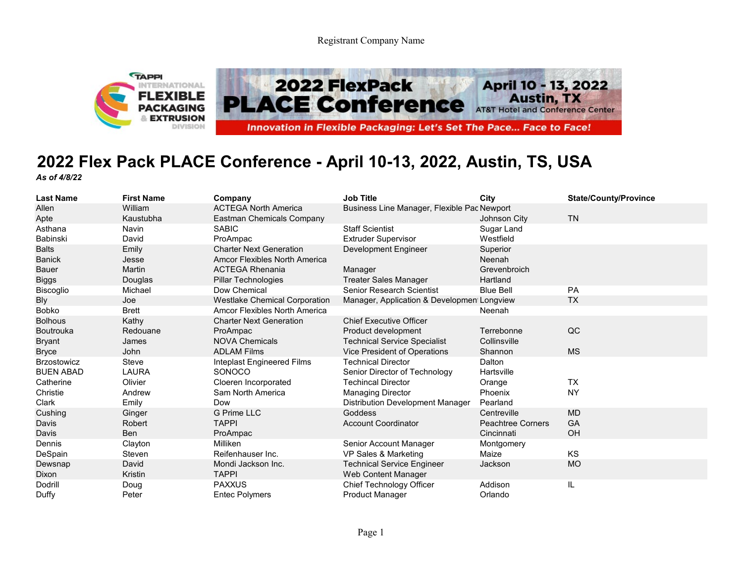Registrant Company Name



## **2022 Flex Pack PLACE Conference - April 10-13, 2022, Austin, TS, USA** *As of 4/8/22*

| <b>Last Name</b>   | <b>First Name</b> | Company                              | <b>Job Title</b>                            | City                     | <b>State/County/Province</b> |
|--------------------|-------------------|--------------------------------------|---------------------------------------------|--------------------------|------------------------------|
| Allen              | William           | <b>ACTEGA North America</b>          | Business Line Manager, Flexible Pac Newport |                          |                              |
| Apte               | Kaustubha         | Eastman Chemicals Company            |                                             | Johnson City             | <b>TN</b>                    |
| Asthana            | <b>Navin</b>      | <b>SABIC</b>                         | <b>Staff Scientist</b>                      | Sugar Land               |                              |
| Babinski           | David             | ProAmpac                             | <b>Extruder Supervisor</b>                  | Westfield                |                              |
| <b>Balts</b>       | Emily             | <b>Charter Next Generation</b>       | Development Engineer                        | Superior                 |                              |
| <b>Banick</b>      | Jesse             | <b>Amcor Flexibles North America</b> |                                             | Neenah                   |                              |
| <b>Bauer</b>       | Martin            | <b>ACTEGA Rhenania</b>               | Manager                                     | Grevenbroich             |                              |
| <b>Biggs</b>       | Douglas           | Pillar Technologies                  | <b>Treater Sales Manager</b>                | Hartland                 |                              |
| Biscoglio          | Michael           | Dow Chemical                         | <b>Senior Research Scientist</b>            | <b>Blue Bell</b>         | <b>PA</b>                    |
| <b>Bly</b>         | Joe               | <b>Westlake Chemical Corporation</b> | Manager, Application & Development Longview |                          | <b>TX</b>                    |
| <b>Bobko</b>       | <b>Brett</b>      | Amcor Flexibles North America        |                                             | Neenah                   |                              |
| <b>Bolhous</b>     | Kathy             | <b>Charter Next Generation</b>       | <b>Chief Executive Officer</b>              |                          |                              |
| <b>Boutrouka</b>   | Redouane          | ProAmpac                             | Product development                         | Terrebonne               | QC                           |
| <b>Bryant</b>      | James             | <b>NOVA Chemicals</b>                | <b>Technical Service Specialist</b>         | Collinsville             |                              |
| <b>Bryce</b>       | John              | <b>ADLAM Films</b>                   | Vice President of Operations                | Shannon                  | <b>MS</b>                    |
| <b>Brzostowicz</b> | <b>Steve</b>      | Inteplast Engineered Films           | <b>Technical Director</b>                   | Dalton                   |                              |
| <b>BUEN ABAD</b>   | <b>LAURA</b>      | SONOCO                               | Senior Director of Technology               | Hartsville               |                              |
| Catherine          | Olivier           | Cloeren Incorporated                 | <b>Techincal Director</b>                   | Orange                   | TX                           |
| Christie           | Andrew            | Sam North America                    | <b>Managing Director</b>                    | Phoenix                  | <b>NY</b>                    |
| Clark              | Emily             | Dow                                  | <b>Distribution Development Manager</b>     | Pearland                 |                              |
| Cushing            | Ginger            | <b>G Prime LLC</b>                   | <b>Goddess</b>                              | Centreville              | <b>MD</b>                    |
| Davis              | <b>Robert</b>     | <b>TAPPI</b>                         | <b>Account Coordinator</b>                  | <b>Peachtree Corners</b> | GA                           |
| Davis              | <b>Ben</b>        | ProAmpac                             |                                             | Cincinnati               | OH                           |
| Dennis             | Clayton           | Milliken                             | Senior Account Manager                      | Montgomery               |                              |
| DeSpain            | Steven            | Reifenhauser Inc.                    | VP Sales & Marketing                        | Maize                    | KS                           |
| Dewsnap            | David             | Mondi Jackson Inc.                   | <b>Technical Service Engineer</b>           | Jackson                  | <b>MO</b>                    |
| <b>Dixon</b>       | Kristin           | <b>TAPPI</b>                         | Web Content Manager                         |                          |                              |
| <b>Dodrill</b>     | Doug              | <b>PAXXUS</b>                        | Chief Technology Officer                    | Addison                  | IL.                          |
| Duffy              | Peter             | <b>Entec Polymers</b>                | <b>Product Manager</b>                      | Orlando                  |                              |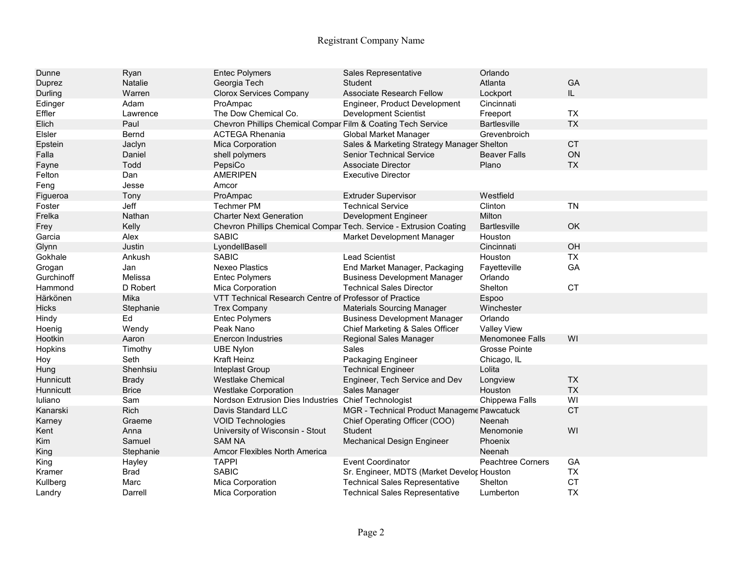## Registrant Company Name

| Dunne         | Ryan         | <b>Entec Polymers</b>                                              | Sales Representative                       | Orlando                  |           |
|---------------|--------------|--------------------------------------------------------------------|--------------------------------------------|--------------------------|-----------|
| Duprez        | Natalie      | Georgia Tech                                                       | <b>Student</b>                             | Atlanta                  | GA        |
| Durling       | Warren       | <b>Clorox Services Company</b>                                     | <b>Associate Research Fellow</b>           | Lockport                 | IL.       |
| Edinger       | Adam         | ProAmpac                                                           | Engineer, Product Development              | Cincinnati               |           |
| Effler        | Lawrence     | The Dow Chemical Co.                                               | <b>Development Scientist</b>               | Freeport                 | <b>TX</b> |
| Elich         | Paul         | Chevron Phillips Chemical Compar Film & Coating Tech Service       |                                            | <b>Bartlesville</b>      | <b>TX</b> |
| <b>Elsler</b> | Bernd        | <b>ACTEGA Rhenania</b>                                             | <b>Global Market Manager</b>               | Grevenbroich             |           |
| Epstein       | Jaclyn       | Mica Corporation                                                   | Sales & Marketing Strategy Manager Shelton |                          | <b>CT</b> |
| Falla         | Daniel       | shell polymers                                                     | <b>Senior Technical Service</b>            | <b>Beaver Falls</b>      | ON        |
| Fayne         | Todd         | PepsiCo                                                            | <b>Associate Director</b>                  | Plano                    | <b>TX</b> |
| Felton        | Dan          | <b>AMERIPEN</b>                                                    | <b>Executive Director</b>                  |                          |           |
| Feng          | Jesse        | Amcor                                                              |                                            |                          |           |
| Figueroa      | Tony         | ProAmpac                                                           | <b>Extruder Supervisor</b>                 | Westfield                |           |
| Foster        | Jeff         | <b>Techmer PM</b>                                                  | <b>Technical Service</b>                   | Clinton                  | <b>TN</b> |
| Frelka        | Nathan       | <b>Charter Next Generation</b>                                     | Development Engineer                       | Milton                   |           |
| Frey          | Kelly        | Chevron Phillips Chemical Compar Tech. Service - Extrusion Coating |                                            | <b>Bartlesville</b>      | OK        |
| Garcia        | Alex         | <b>SABIC</b>                                                       | Market Development Manager                 | Houston                  |           |
| Glynn         | Justin       | LyondellBasell                                                     |                                            | Cincinnati               | OH        |
| Gokhale       | Ankush       | <b>SABIC</b>                                                       | <b>Lead Scientist</b>                      | Houston                  | <b>TX</b> |
| Grogan        | Jan          | <b>Nexeo Plastics</b>                                              | End Market Manager, Packaging              | Fayetteville             | GA        |
| Gurchinoff    | Melissa      | <b>Entec Polymers</b>                                              | <b>Business Development Manager</b>        | Orlando                  |           |
| Hammond       | D Robert     | Mica Corporation                                                   | <b>Technical Sales Director</b>            | Shelton                  | <b>CT</b> |
| Härkönen      | Mika         | VTT Technical Research Centre of Professor of Practice             |                                            | Espoo                    |           |
| <b>Hicks</b>  | Stephanie    | <b>Trex Company</b>                                                | <b>Materials Sourcing Manager</b>          | Winchester               |           |
| Hindy         | Ed           | <b>Entec Polymers</b>                                              | <b>Business Development Manager</b>        | Orlando                  |           |
| Hoenia        | Wendy        | Peak Nano                                                          | Chief Marketing & Sales Officer            | <b>Valley View</b>       |           |
| Hootkin       | Aaron        | <b>Enercon Industries</b>                                          | Regional Sales Manager                     | <b>Menomonee Falls</b>   | WI        |
| Hopkins       | Timothy      | <b>UBE Nylon</b>                                                   | Sales                                      | Grosse Pointe            |           |
| Hoy           | Seth         | <b>Kraft Heinz</b>                                                 | Packaging Engineer                         | Chicago, IL              |           |
| Hung          | Shenhsiu     | Inteplast Group                                                    | <b>Technical Engineer</b>                  | Lolita                   |           |
| Hunnicutt     | <b>Brady</b> | <b>Westlake Chemical</b>                                           | Engineer, Tech Service and Dev             | Longview                 | <b>TX</b> |
| Hunnicutt     | <b>Brice</b> | <b>Westlake Corporation</b>                                        | Sales Manager                              | Houston                  | <b>TX</b> |
| Iuliano       | Sam          | Nordson Extrusion Dies Industries Chief Technologist               |                                            | Chippewa Falls           | WI        |
| Kanarski      | Rich         | Davis Standard LLC                                                 | MGR - Technical Product Manageme Pawcatuck |                          | <b>CT</b> |
| Karney        | Graeme       | <b>VOID Technologies</b>                                           | Chief Operating Officer (COO)              | Neenah                   |           |
| Kent          | Anna         | University of Wisconsin - Stout                                    | Student                                    | Menomonie                | WI        |
| Kim           | Samuel       | <b>SAM NA</b>                                                      | Mechanical Design Engineer                 | Phoenix                  |           |
| King          | Stephanie    | Amcor Flexibles North America                                      |                                            | Neenah                   |           |
| King          | Hayley       | <b>TAPPI</b>                                                       | <b>Event Coordinator</b>                   | <b>Peachtree Corners</b> | GA        |
| Kramer        | <b>Brad</b>  | <b>SABIC</b>                                                       | Sr. Engineer, MDTS (Market Develor Houston |                          | <b>TX</b> |
| Kullberg      | Marc         | Mica Corporation                                                   | <b>Technical Sales Representative</b>      | Shelton                  | CT        |
| Landry        | Darrell      | <b>Mica Corporation</b>                                            | <b>Technical Sales Representative</b>      | Lumberton                | <b>TX</b> |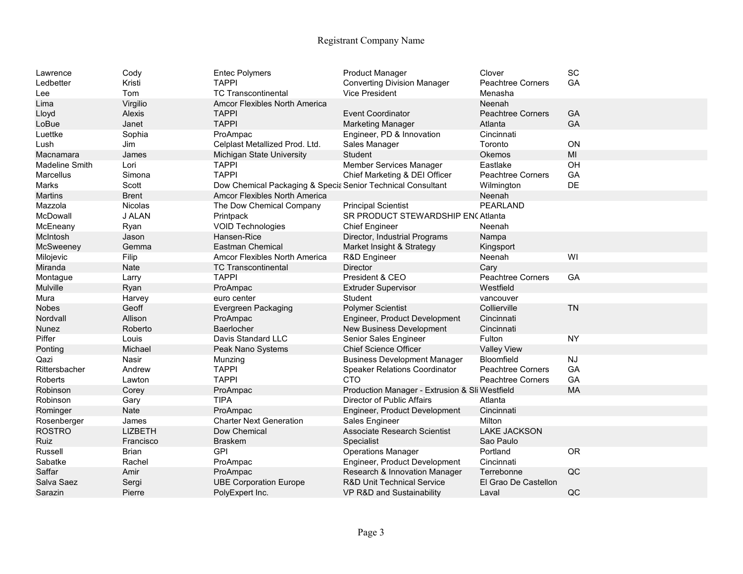## Registrant Company Name

| Lawrence<br>Ledbetter<br>Lee | Cody<br>Kristi<br>Tom | <b>Entec Polymers</b><br><b>TAPPI</b><br><b>TC Transcontinental</b> | <b>Product Manager</b><br><b>Converting Division Manager</b><br>Vice President | Clover<br><b>Peachtree Corners</b><br>Menasha | SC<br>GA  |
|------------------------------|-----------------------|---------------------------------------------------------------------|--------------------------------------------------------------------------------|-----------------------------------------------|-----------|
| Lima                         | Virgilio              | <b>Amcor Flexibles North America</b>                                |                                                                                | Neenah                                        |           |
| Lloyd                        | Alexis                | <b>TAPPI</b>                                                        | <b>Event Coordinator</b>                                                       | <b>Peachtree Corners</b>                      | GA        |
| LoBue                        | Janet                 | <b>TAPPI</b>                                                        | <b>Marketing Manager</b>                                                       | Atlanta                                       | GA        |
| Luettke                      | Sophia                | ProAmpac                                                            | Engineer, PD & Innovation                                                      | Cincinnati                                    |           |
| Lush                         |                       | Celplast Metallized Prod. Ltd.                                      | Sales Manager                                                                  | Toronto                                       | ON        |
|                              | Jim                   |                                                                     |                                                                                |                                               | MI        |
| Macnamara                    | James                 | Michigan State University                                           | Student                                                                        | Okemos                                        |           |
| <b>Madeline Smith</b>        | Lori                  | <b>TAPPI</b>                                                        | <b>Member Services Manager</b>                                                 | Eastlake                                      | OH        |
| <b>Marcellus</b>             | Simona                | <b>TAPPI</b>                                                        | Chief Marketing & DEI Officer                                                  | <b>Peachtree Corners</b>                      | GA        |
| Marks                        | Scott                 | Dow Chemical Packaging & Specia Senior Technical Consultant         |                                                                                | Wilmington                                    | DE        |
| <b>Martins</b>               | <b>Brent</b>          | <b>Amcor Flexibles North America</b>                                |                                                                                | Neenah                                        |           |
| Mazzola                      | <b>Nicolas</b>        | The Dow Chemical Company                                            | <b>Principal Scientist</b>                                                     | PEARLAND                                      |           |
| <b>McDowall</b>              | J ALAN                | Printpack                                                           | SR PRODUCT STEWARDSHIP ENCAtlanta                                              |                                               |           |
| McEneany                     | Ryan                  | <b>VOID Technologies</b>                                            | <b>Chief Engineer</b>                                                          | Neenah                                        |           |
| McIntosh                     | Jason                 | Hansen-Rice                                                         | Director, Industrial Programs                                                  | Nampa                                         |           |
| McSweeney                    | Gemma                 | <b>Eastman Chemical</b>                                             | Market Insight & Strategy                                                      | Kingsport                                     |           |
| Milojevic                    | Filip                 | Amcor Flexibles North America                                       | R&D Engineer                                                                   | Neenah                                        | WI        |
| Miranda                      | Nate                  | <b>TC Transcontinental</b>                                          | <b>Director</b>                                                                | Cary                                          |           |
| Montague                     | Larry                 | <b>TAPPI</b>                                                        | President & CEO                                                                | Peachtree Corners                             | GA        |
| Mulville                     | Ryan                  | ProAmpac                                                            | <b>Extruder Supervisor</b>                                                     | Westfield                                     |           |
| Mura                         | Harvey                | euro center                                                         | Student                                                                        | vancouver                                     |           |
| <b>Nobes</b>                 | Geoff                 | Evergreen Packaging                                                 | <b>Polymer Scientist</b>                                                       | Collierville                                  | <b>TN</b> |
| Nordvall                     | Allison               | ProAmpac                                                            | Engineer, Product Development                                                  | Cincinnati                                    |           |
| <b>Nunez</b>                 | Roberto               | Baerlocher                                                          | New Business Development                                                       | Cincinnati                                    |           |
| Piffer                       | Louis                 | Davis Standard LLC                                                  | Senior Sales Engineer                                                          | Fulton                                        | <b>NY</b> |
| Ponting                      | Michael               | Peak Nano Systems                                                   | <b>Chief Science Officer</b>                                                   | <b>Valley View</b>                            |           |
| Qazi                         | Nasir                 | Munzing                                                             | <b>Business Development Manager</b>                                            | Bloomfield                                    | <b>NJ</b> |
| Rittersbacher                | Andrew                | <b>TAPPI</b>                                                        | <b>Speaker Relations Coordinator</b>                                           | <b>Peachtree Corners</b>                      | GA        |
| Roberts                      | Lawton                | <b>TAPPI</b>                                                        | <b>CTO</b>                                                                     | <b>Peachtree Corners</b>                      | GA        |
| Robinson                     | Corey                 | ProAmpac                                                            | Production Manager - Extrusion & Sli Westfield                                 |                                               | <b>MA</b> |
| Robinson                     | Gary                  | <b>TIPA</b>                                                         | Director of Public Affairs                                                     | Atlanta                                       |           |
| Rominger                     | Nate                  | ProAmpac                                                            | Engineer, Product Development                                                  | Cincinnati                                    |           |
| Rosenberger                  | James                 | <b>Charter Next Generation</b>                                      | Sales Engineer                                                                 | Milton                                        |           |
| <b>ROSTRO</b>                | LIZBETH               | Dow Chemical                                                        | <b>Associate Research Scientist</b>                                            | <b>LAKE JACKSON</b>                           |           |
| Ruiz                         | Francisco             | <b>Braskem</b>                                                      | Specialist                                                                     | Sao Paulo                                     |           |
| Russell                      | <b>Brian</b>          | <b>GPI</b>                                                          | <b>Operations Manager</b>                                                      | Portland                                      | <b>OR</b> |
| Sabatke                      | Rachel                | ProAmpac                                                            | Engineer, Product Development                                                  | Cincinnati                                    |           |
| Saffar                       | Amir                  | ProAmpac                                                            | Research & Innovation Manager                                                  | Terrebonne                                    | QC        |
| Salva Saez                   | Sergi                 | <b>UBE Corporation Europe</b>                                       | R&D Unit Technical Service                                                     | El Grao De Castellon                          |           |
| Sarazin                      | Pierre                | PolyExpert Inc.                                                     | VP R&D and Sustainability                                                      | Laval                                         | QC        |
|                              |                       |                                                                     |                                                                                |                                               |           |